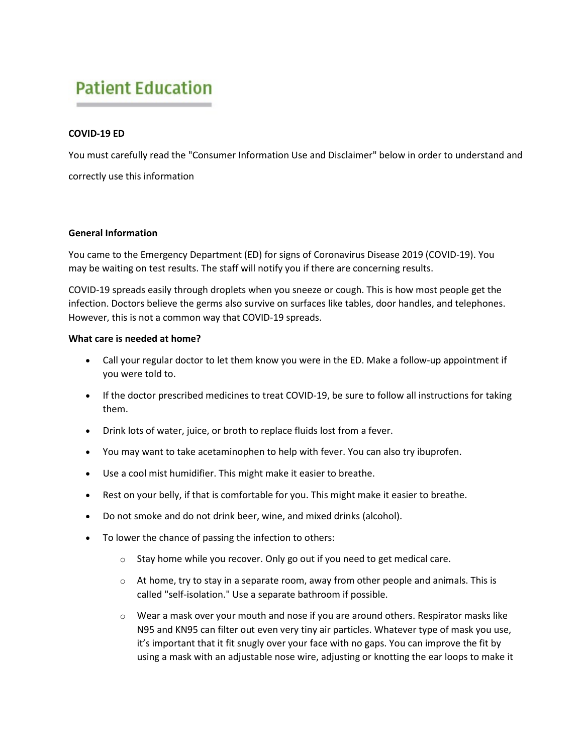# **Patient Education**

# **COVID-19 ED**

You must carefully read the "Consumer Information Use and Disclaimer" below in order to understand and correctly use this information

## **General Information**

You came to the Emergency Department (ED) for signs of Coronavirus Disease 2019 (COVID-19). You may be waiting on test results. The staff will notify you if there are concerning results.

COVID-19 spreads easily through droplets when you sneeze or cough. This is how most people get the infection. Doctors believe the germs also survive on surfaces like tables, door handles, and telephones. However, this is not a common way that COVID-19 spreads.

## **What care is needed at home?**

- Call your regular doctor to let them know you were in the ED. Make a follow-up appointment if you were told to.
- If the doctor prescribed medicines to treat COVID-19, be sure to follow all instructions for taking them.
- Drink lots of water, juice, or broth to replace fluids lost from a fever.
- You may want to take acetaminophen to help with fever. You can also try ibuprofen.
- Use a cool mist humidifier. This might make it easier to breathe.
- Rest on your belly, if that is comfortable for you. This might make it easier to breathe.
- Do not smoke and do not drink beer, wine, and mixed drinks (alcohol).
- To lower the chance of passing the infection to others:
	- $\circ$  Stay home while you recover. Only go out if you need to get medical care.
	- $\circ$  At home, try to stay in a separate room, away from other people and animals. This is called "self-isolation." Use a separate bathroom if possible.
	- $\circ$  Wear a mask over your mouth and nose if you are around others. Respirator masks like N95 and KN95 can filter out even very tiny air particles. Whatever type of mask you use, it's important that it fit snugly over your face with no gaps. You can improve the fit by using a mask with an adjustable nose wire, adjusting or knotting the ear loops to make it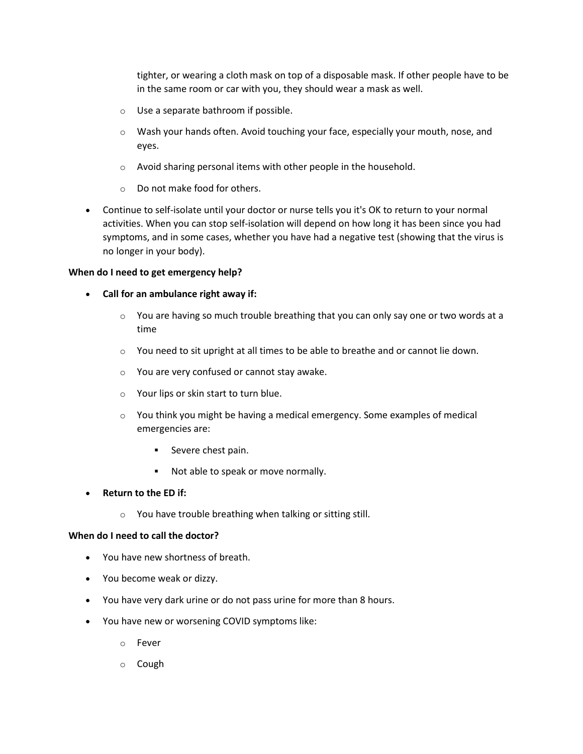tighter, or wearing a cloth mask on top of a disposable mask. If other people have to be in the same room or car with you, they should wear a mask as well.

- o Use a separate bathroom if possible.
- $\circ$  Wash your hands often. Avoid touching your face, especially your mouth, nose, and eyes.
- o Avoid sharing personal items with other people in the household.
- o Do not make food for others.
- Continue to self-isolate until your doctor or nurse tells you it's OK to return to your normal activities. When you can stop self-isolation will depend on how long it has been since you had symptoms, and in some cases, whether you have had a negative test (showing that the virus is no longer in your body).

# **When do I need to get emergency help?**

- **Call for an ambulance right away if:**
	- $\circ$  You are having so much trouble breathing that you can only say one or two words at a time
	- $\circ$  You need to sit upright at all times to be able to breathe and or cannot lie down.
	- o You are very confused or cannot stay awake.
	- o Your lips or skin start to turn blue.
	- o You think you might be having a medical emergency. Some examples of medical emergencies are:
		- **Severe chest pain.**
		- Not able to speak or move normally.
- **Return to the ED if:**
	- o You have trouble breathing when talking or sitting still.

#### **When do I need to call the doctor?**

- You have new shortness of breath.
- You become weak or dizzy.
- You have very dark urine or do not pass urine for more than 8 hours.
- You have new or worsening COVID symptoms like:
	- o Fever
	- o Cough